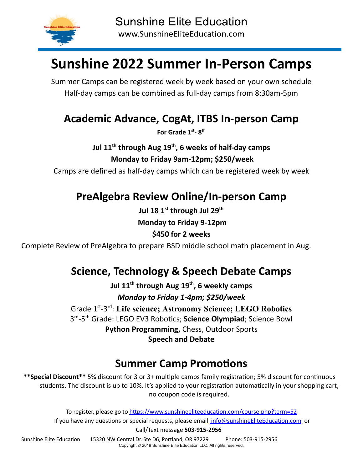

# **Sunshine 2022 Summer In-Person Camps**

Summer Camps can be registered week by week based on your own schedule Half-day camps can be combined as full-day camps from 8:30am-5pm

#### **Academic Advance, CogAt, ITBS In-person Camp**

**For Grade 1st - 8th**

**Jul 11 th through Aug 19 th , 6 weeks of half-day camps Monday to Friday 9am-12pm; \$250/week**

Camps are defined as half-day camps which can be registered week by week

## **PreAlgebra Review Online/In-person Camp**

**Jul 18 1 st through Jul 29 th Monday to Friday 9-12pm \$450 for 2 weeks**

Complete Review of PreAlgebra to prepare BSD middle school math placement in Aug.

## **Science, Technology & Speech Debate Camps**

**Jul 11 th through Aug 19 th , 6 weekly camps** *Monday to Friday 1-4pm; \$250/week*

Grade 1 st -3 rd : **Life science; Astronomy Science; LEGO Robotics** 3<sup>rd</sup>-5<sup>th</sup> Grade: LEGO EV3 Robotics; Science Olympiad; Science Bowl **Python Programming,** Chess, Outdoor Sports **Speech and Debate**

# **Summer Camp Promotions**

\*\*Special Discount\*\* 5% discount for 3 or 3+ multiple camps family registration; 5% discount for continuous students. The discount is up to 10%. It's applied to your registration automatically in your shopping cart, no coupon code is required.

To register, please go to https://www.sunshineeliteeducation.com/course.php?term=52 If you have any questions or special requests, please email info@sunshineEliteEducation.com or

Call/Text message **503-915-2956**